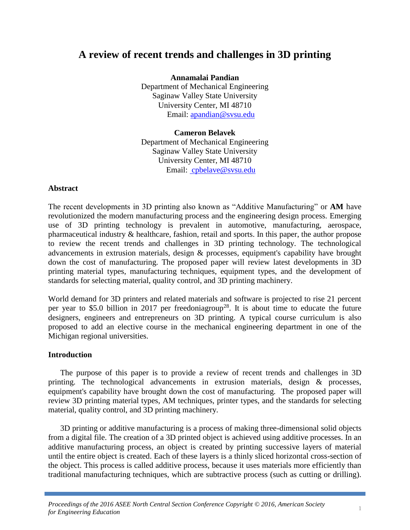# **A review of recent trends and challenges in 3D printing**

**Annamalai Pandian**

Department of Mechanical Engineering Saginaw Valley State University University Center, MI 48710 Email: [apandian@svsu.edu](mailto:apandian@svsu.edu)

**Cameron Belavek** Department of Mechanical Engineering Saginaw Valley State University University Center, MI 48710 Email: [cpbelave@svsu.edu](mailto:%20cpbelave@svsu.edu)

### **Abstract**

The recent developments in 3D printing also known as "Additive Manufacturing" or **AM** have revolutionized the modern manufacturing process and the engineering design process. Emerging use of 3D printing technology is prevalent in automotive, manufacturing, aerospace, pharmaceutical industry & healthcare, fashion, retail and sports. In this paper, the author propose to review the recent trends and challenges in 3D printing technology. The technological advancements in extrusion materials, design & processes, equipment's capability have brought down the cost of manufacturing. The proposed paper will review latest developments in 3D printing material types, manufacturing techniques, equipment types, and the development of standards for selecting material, quality control, and 3D printing machinery.

World demand for 3D printers and related materials and software is projected to rise 21 percent per year to \$5.0 billion in 2017 per freedoniagroup<sup>28</sup>. It is about time to educate the future designers, engineers and entrepreneurs on 3D printing. A typical course curriculum is also proposed to add an elective course in the mechanical engineering department in one of the Michigan regional universities.

#### **Introduction**

The purpose of this paper is to provide a review of recent trends and challenges in 3D printing. The technological advancements in extrusion materials, design & processes, equipment's capability have brought down the cost of manufacturing. The proposed paper will review 3D printing material types, AM techniques, printer types, and the standards for selecting material, quality control, and 3D printing machinery.

3D printing or additive manufacturing is a process of making three-dimensional solid objects from a digital file. The creation of a 3D printed object is achieved using additive processes. In an additive manufacturing process, an object is created by printing successive layers of material until the entire object is created. Each of these layers is a thinly sliced horizontal cross-section of the object. This process is called additive process, because it uses materials more efficiently than traditional manufacturing techniques, which are subtractive process (such as cutting or drilling).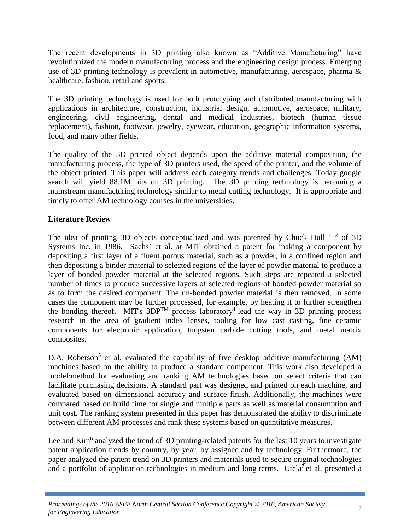The recent developments in 3D printing also known as "Additive Manufacturing" have revolutionized the modern manufacturing process and the engineering design process. Emerging use of 3D printing technology is prevalent in automotive, manufacturing, aerospace, pharma & healthcare, fashion, retail and sports.

The 3D printing technology is used for both prototyping and distributed manufacturing with applications in architecture, construction, industrial design, automotive, aerospace, military, engineering, civil engineering, dental and medical industries, biotech (human tissue replacement), fashion, footwear, jewelry, eyewear, education, geographic information systems, food, and many other fields.

The quality of the 3D printed object depends upon the additive material composition, the manufacturing process, the type of 3D printers used, the speed of the printer, and the volume of the object printed. This paper will address each category trends and challenges. Today google search will yield 88.1M hits on 3D printing. The 3D printing technology is becoming a mainstream manufacturing technology similar to metal cutting technology. It is appropriate and timely to offer AM technology courses in the universities.

## **Literature Review**

The idea of printing 3D objects conceptualized and was patented by Chuck Hull  $^{1, 2}$  of 3D Systems Inc. in 1986. Sachs<sup>3</sup> et al. at MIT obtained a patent for making a component by depositing a first layer of a fluent porous material, such as a powder, in a confined region and then depositing a binder material to selected regions of the layer of powder material to produce a layer of bonded powder material at the selected regions. Such steps are repeated a selected number of times to produce successive layers of selected regions of bonded powder material so as to form the desired component. The un-bonded powder material is then removed. In some cases the component may be further processed, for example, by heating it to further strengthen the bonding thereof. MIT's  $3DP^{TM}$  process laboratory<sup>4</sup> lead the way in 3D printing process research in the area of gradient index lenses, tooling for low cast casting, fine ceramic components for electronic application, tungsten carbide cutting tools, and metal matrix composites.

D.A. Roberson<sup>5</sup> et al. evaluated the capability of five desktop additive manufacturing (AM) machines based on the ability to produce a standard component. This work also developed a model/method for evaluating and ranking AM technologies based on select criteria that can facilitate purchasing decisions. A standard part was designed and printed on each machine, and evaluated based on dimensional accuracy and surface finish. Additionally, the machines were compared based on build time for single and multiple parts as well as material consumption and unit cost. The ranking system presented in this paper has demonstrated the ability to discriminate between different AM processes and rank these systems based on quantitative measures.

Lee and Kim<sup>6</sup> analyzed the trend of 3D printing-related patents for the last 10 years to investigate patent application trends by country, by year, by assignee and by technology. Furthermore, the paper analyzed the patent trend on 3D printers and materials used to secure original technologies and a portfolio of application technologies in medium and long terms. Utela<sup>7</sup> et al. presented a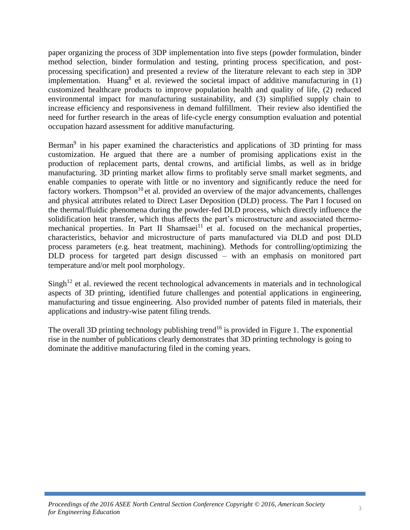paper organizing the process of 3DP implementation into five steps (powder formulation, binder method selection, binder formulation and testing, printing process specification, and postprocessing specification) and presented a review of the literature relevant to each step in 3DP implementation. Huang<sup>8</sup> et al. reviewed the societal impact of additive manufacturing in  $(1)$ customized healthcare products to improve population health and quality of life, (2) reduced environmental impact for manufacturing sustainability, and (3) simplified supply chain to increase efficiency and responsiveness in demand fulfillment. Their review also identified the need for further research in the areas of life-cycle energy consumption evaluation and potential occupation hazard assessment for additive manufacturing.

Berman<sup>9</sup> in his paper examined the characteristics and applications of 3D printing for mass customization. He argued that there are a number of promising applications exist in the production of replacement parts, dental crowns, and artificial limbs, as well as in bridge manufacturing. 3D printing market allow firms to profitably serve small market segments, and enable companies to operate with little or no inventory and significantly reduce the need for factory workers. Thompson<sup>10</sup> et al. provided an overview of the major advancements, challenges and physical attributes related to Direct Laser Deposition (DLD) process. The Part I focused on the thermal/fluidic phenomena during the powder-fed DLD process, which directly influence the solidification heat transfer, which thus affects the part's microstructure and associated thermomechanical properties. In Part II Shamsaei<sup>11</sup> et al. focused on the mechanical properties, characteristics, behavior and microstructure of parts manufactured via DLD and post DLD process parameters (e.g. heat treatment, machining). Methods for controlling/optimizing the DLD process for targeted part design discussed – with an emphasis on monitored part temperature and/or melt pool morphology.

 $Sing<sup>12</sup>$  et al. reviewed the recent technological advancements in materials and in technological aspects of 3D printing, identified future challenges and potential applications in engineering, manufacturing and tissue engineering. Also provided number of patents filed in materials, their applications and industry-wise patent filing trends.

The overall 3D printing technology publishing trend<sup>16</sup> is provided in Figure 1. The exponential rise in the number of publications clearly demonstrates that 3D printing technology is going to dominate the additive manufacturing filed in the coming years.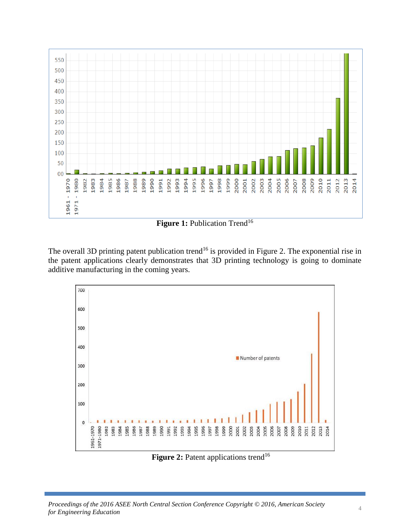

**Figure 1:** Publication Trend<sup>16</sup>

The overall 3D printing patent publication trend<sup>16</sup> is provided in Figure 2. The exponential rise in the patent applications clearly demonstrates that 3D printing technology is going to dominate additive manufacturing in the coming years.



Figure 2: Patent applications trend<sup>16</sup>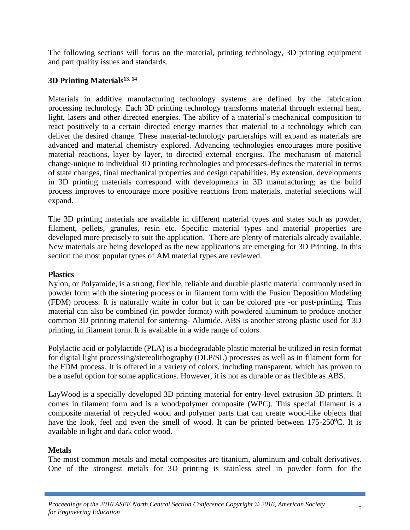The following sections will focus on the material, printing technology, 3D printing equipment and part quality issues and standards.

### **3D Printing Materials 13, 14**

Materials in additive manufacturing technology systems are defined by the fabrication processing technology. Each 3D printing technology transforms material through external heat, light, lasers and other directed energies. The ability of a material's mechanical composition to react positively to a certain directed energy marries that material to a technology which can deliver the desired change. These material-technology partnerships will expand as materials are advanced and material chemistry explored. Advancing technologies encourages more positive material reactions, layer by layer, to directed external energies. The mechanism of material change-unique to individual 3D printing technologies and processes-defines the material in terms of state changes, final mechanical properties and design capabilities. By extension, developments in 3D printing materials correspond with developments in 3D manufacturing; as the build process improves to encourage more positive reactions from materials, material selections will expand.

The 3D printing materials are available in different material types and states such as powder, filament, pellets, granules, resin etc. Specific material types and material properties are developed more precisely to suit the application. There are plenty of materials already available. New materials are being developed as the new applications are emerging for 3D Printing. In this section the most popular types of AM material types are reviewed.

### **Plastics**

Nylon, or Polyamide, is a strong, flexible, reliable and durable plastic material commonly used in powder form with the sintering process or in filament form with the Fusion Deposition Modeling (FDM) process. It is naturally white in color but it can be colored pre -or post-printing. This material can also be combined (in powder format) with powdered aluminum to produce another common 3D printing material for sintering- Alumide. ABS is another strong plastic used for 3D printing, in filament form. It is available in a wide range of colors.

Polylactic acid or polylactide (PLA) is a biodegradable plastic material be utilized in resin format for digital light processing/stereolithography (DLP/SL) processes as well as in filament form for the FDM process. It is offered in a variety of colors, including transparent, which has proven to be a useful option for some applications. However, it is not as durable or as flexible as ABS.

LayWood is a specially developed 3D printing material for entry-level extrusion 3D printers. It comes in filament form and is a wood/polymer composite (WPC). This special filament is a composite material of recycled wood and polymer parts that can create wood-like objects that have the look, feel and even the smell of wood. It can be printed between  $175-250^{\circ}$ C. It is available in light and dark color wood.

### **Metals**

The most common metals and metal composites are titanium, aluminum and cobalt derivatives. One of the strongest metals for 3D printing is stainless steel in powder form for the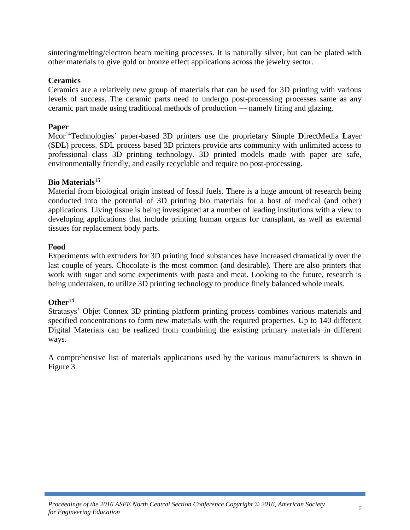sintering/melting/electron beam melting processes. It is naturally silver, but can be plated with other materials to give gold or bronze effect applications across the jewelry sector.

### **Ceramics**

Ceramics are a relatively new group of materials that can be used for 3D printing with various levels of success. The ceramic parts need to undergo post-processing processes same as any ceramic part made using traditional methods of production — namely firing and glazing.

### **Paper**

Mcor<sup>14</sup>Technologies' paper-based 3D printers use the proprietary **S**imple **D**irectMedia **L**ayer (SDL) process. SDL process based 3D printers provide arts community with unlimited access to professional class 3D printing technology. 3D printed models made with paper are safe, environmentally friendly, and easily recyclable and require no post-processing.

### **Bio Materials<sup>15</sup>**

Material from biological origin instead of fossil fuels. There is a huge amount of research being conducted into the potential of 3D printing bio materials for a host of medical (and other) applications. Living tissue is being investigated at a number of leading institutions with a view to developing applications that include printing human organs for transplant, as well as external tissues for replacement body parts.

### **Food**

Experiments with extruders for 3D printing food substances have increased dramatically over the last couple of years. Chocolate is the most common (and desirable). There are also printers that work with sugar and some experiments with pasta and meat. Looking to the future, research is being undertaken, to utilize 3D printing technology to produce finely balanced whole meals.

### **Other<sup>14</sup>**

Stratasys' Objet Connex 3D printing platform printing process combines various materials and specified concentrations to form new materials with the required properties. Up to 140 different Digital Materials can be realized from combining the existing primary materials in different ways.

A comprehensive list of materials applications used by the various manufacturers is shown in Figure 3.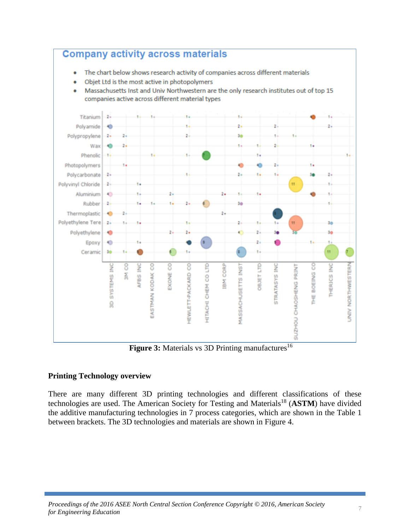

**Figure 3:** Materials vs 3D Printing manufactures<sup>16</sup>

### **Printing Technology overview**

There are many different 3D printing technologies and different classifications of these technologies are used. The American Society for Testing and Materials<sup>18</sup> (ASTM) have divided the additive manufacturing technologies in 7 process categories, which are shown in the Table 1 between brackets. The 3D technologies and materials are shown in Figure 4.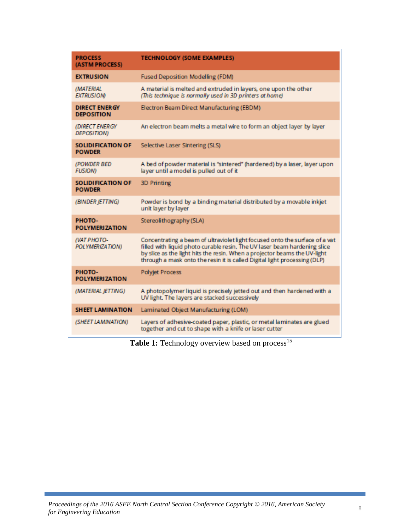| <b>PROCESS</b><br>(ASTM PROCESS)          | <b>TECHNOLOGY (SOME EXAMPLES)</b>                                                                                                                                                                                                                                                                                  |
|-------------------------------------------|--------------------------------------------------------------------------------------------------------------------------------------------------------------------------------------------------------------------------------------------------------------------------------------------------------------------|
| <b>EXTRUSION</b>                          | Fused Deposition Modelling (FDM)                                                                                                                                                                                                                                                                                   |
| <b>IMATERIAL</b><br><b>EXTRUSIONI</b>     | A material is melted and extruded in layers, one upon the other<br>(This technique is normally used in 3D printers at home)                                                                                                                                                                                        |
| <b>DIRECT ENERGY</b><br><b>DEPOSITION</b> | Electron Beam Direct Manufacturing (EBDM)                                                                                                                                                                                                                                                                          |
| (DIRECT ENERGY<br><b>DEPOSITION)</b>      | An electron beam melts a metal wire to form an object layer by layer                                                                                                                                                                                                                                               |
| SOLIDIFICATION OF<br><b>POWDER</b>        | Selective Laser Sintering (SLS)                                                                                                                                                                                                                                                                                    |
| (POWDER BED<br><b>FUSION)</b>             | A bed of powder material is "sintered" (hardened) by a laser, layer upon<br>layer until a model is pulled out of it                                                                                                                                                                                                |
| SOLIDIFICATION OF<br><b>POWDER</b>        | 3D Printing                                                                                                                                                                                                                                                                                                        |
| (BINDER JETTING)                          | Powder is bond by a binding material distributed by a movable inkjet<br>unit layer by layer                                                                                                                                                                                                                        |
| PHOTO-<br><b>POLYMERIZATION</b>           | Stereolithography (SLA)                                                                                                                                                                                                                                                                                            |
| <b>(VAT PHOTO-</b><br>POLYMERIZATION)     | Concentrating a beam of ultraviolet light focused onto the surface of a vat<br>filled with liquid photo curable resin. The UV laser beam hardening slice<br>by slice as the light hits the resin. When a projector beams the UV-light<br>through a mask onto the resin it is called Digital light processing (DLP) |
| PHOTO-<br><b>POLYMERIZATION</b>           | <b>Polyjet Process</b>                                                                                                                                                                                                                                                                                             |
| (MATERIAL JETTING)                        | A photopolymer liquid is precisely jetted out and then hardened with a<br>UV light. The layers are stacked successively                                                                                                                                                                                            |
| <b>SHEET LAMINATION</b>                   | Laminated Object Manufacturing (LOM)                                                                                                                                                                                                                                                                               |
| (SHEET LAMINATION)                        | Layers of adhesive coated paper, plastic, or metal laminates are glued<br>together and cut to shape with a knife or laser cutter                                                                                                                                                                                   |

Table 1: Technology overview based on process<sup>15</sup>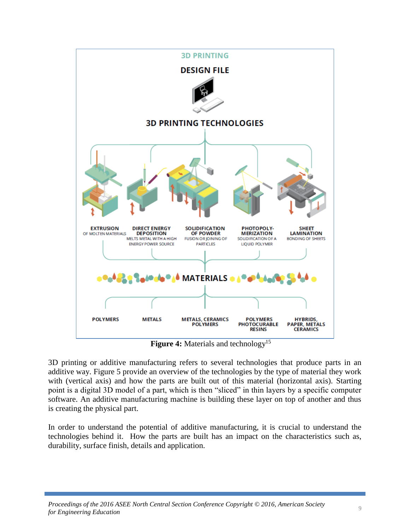

**Figure 4:** Materials and technology<sup>15</sup>

3D printing or additive manufacturing refers to several technologies that produce parts in an additive way. Figure 5 provide an overview of the technologies by the type of material they work with (vertical axis) and how the parts are built out of this material (horizontal axis). Starting point is a digital 3D model of a part, which is then "sliced" in thin layers by a specific computer software. An additive manufacturing machine is building these layer on top of another and thus is creating the physical part.

In order to understand the potential of additive manufacturing, it is crucial to understand the technologies behind it. How the parts are built has an impact on the characteristics such as, durability, surface finish, details and application.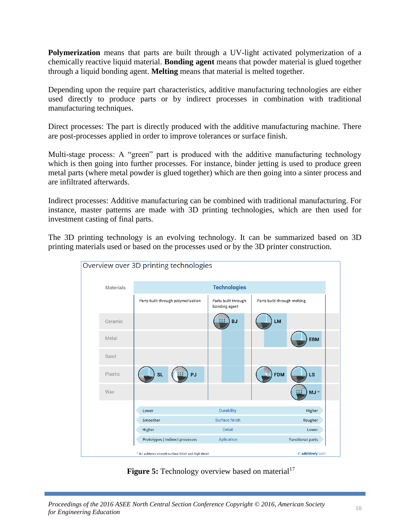**Polymerization** means that parts are built through a UV-light activated polymerization of a chemically reactive liquid material. **Bonding agent** means that powder material is glued together through a liquid bonding agent. **Melting** means that material is melted together.

Depending upon the require part characteristics, additive manufacturing technologies are either used directly to produce parts or by indirect processes in combination with traditional manufacturing techniques.

Direct processes: The part is directly produced with the additive manufacturing machine. There are post-processes applied in order to improve tolerances or surface finish.

Multi-stage process: A "green" part is produced with the additive manufacturing technology which is then going into further processes. For instance, binder jetting is used to produce green metal parts (where metal powder is glued together) which are then going into a sinter process and are infiltrated afterwards.

Indirect processes: Additive manufacturing can be combined with traditional manufacturing. For instance, master patterns are made with 3D printing technologies, which are then used for investment casting of final parts.

The 3D printing technology is an evolving technology. It can be summarized based on 3D printing materials used or based on the processes used or by the 3D printer construction.



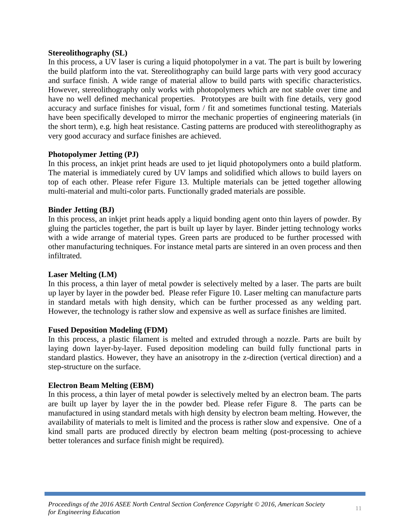#### **Stereolithography (SL)**

In this process, a UV laser is curing a liquid photopolymer in a vat. The part is built by lowering the build platform into the vat. Stereolithography can build large parts with very good accuracy and surface finish. A wide range of material allow to build parts with specific characteristics. However, stereolithography only works with photopolymers which are not stable over time and have no well defined mechanical properties. Prototypes are built with fine details, very good accuracy and surface finishes for visual, form / fit and sometimes functional testing. Materials have been specifically developed to mirror the mechanic properties of engineering materials (in the short term), e.g. high heat resistance. Casting patterns are produced with stereolithography as very good accuracy and surface finishes are achieved.

### **Photopolymer Jetting (PJ)**

In this process, an inkjet print heads are used to jet liquid photopolymers onto a build platform. The material is immediately cured by UV lamps and solidified which allows to build layers on top of each other. Please refer Figure 13. Multiple materials can be jetted together allowing multi-material and multi-color parts. Functionally graded materials are possible.

#### **Binder Jetting (BJ)**

In this process, an inkjet print heads apply a liquid bonding agent onto thin layers of powder. By gluing the particles together, the part is built up layer by layer. Binder jetting technology works with a wide arrange of material types. Green parts are produced to be further processed with other manufacturing techniques. For instance metal parts are sintered in an oven process and then infiltrated.

#### **Laser Melting (LM)**

In this process, a thin layer of metal powder is selectively melted by a laser. The parts are built up layer by layer in the powder bed. Please refer Figure 10. Laser melting can manufacture parts in standard metals with high density, which can be further processed as any welding part. However, the technology is rather slow and expensive as well as surface finishes are limited.

#### **Fused Deposition Modeling (FDM)**

In this process, a plastic filament is melted and extruded through a nozzle. Parts are built by laying down layer-by-layer. Fused deposition modeling can build fully functional parts in standard plastics. However, they have an anisotropy in the z-direction (vertical direction) and a step-structure on the surface.

#### **Electron Beam Melting (EBM)**

In this process, a thin layer of metal powder is selectively melted by an electron beam. The parts are built up layer by layer the in the powder bed. Please refer Figure 8. The parts can be manufactured in using standard metals with high density by electron beam melting. However, the availability of materials to melt is limited and the process is rather slow and expensive. One of a kind small parts are produced directly by electron beam melting (post-processing to achieve better tolerances and surface finish might be required).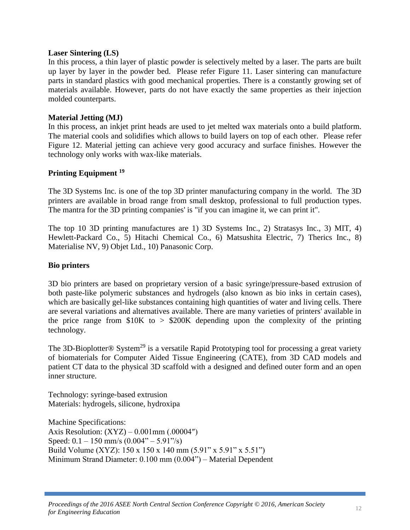#### **Laser Sintering (LS)**

In this process, a thin layer of plastic powder is selectively melted by a laser. The parts are built up layer by layer in the powder bed. Please refer Figure 11. Laser sintering can manufacture parts in standard plastics with good mechanical properties. There is a constantly growing set of materials available. However, parts do not have exactly the same properties as their injection molded counterparts.

#### **Material Jetting (MJ)**

In this process, an inkjet print heads are used to jet melted wax materials onto a build platform. The material cools and solidifies which allows to build layers on top of each other. Please refer Figure 12. Material jetting can achieve very good accuracy and surface finishes. However the technology only works with wax-like materials.

#### **Printing Equipment <sup>19</sup>**

The 3D Systems Inc. is one of the top 3D printer manufacturing company in the world. The 3D printers are available in broad range from small desktop, professional to full production types. The mantra for the 3D printing companies' is "if you can imagine it, we can print it".

The top 10 3D printing manufactures are 1) 3D Systems Inc., 2) Stratasys Inc., 3) MIT, 4) Hewlett-Packard Co., 5) Hitachi Chemical Co., 6) Matsushita Electric, 7) Therics Inc., 8) Materialise NV, 9) Objet Ltd., 10) Panasonic Corp.

#### **Bio printers**

3D bio printers are based on proprietary version of a basic syringe/pressure-based extrusion of both paste-like polymeric substances and hydrogels (also known as bio inks in certain cases), which are basically gel-like substances containing high quantities of water and living cells. There are several variations and alternatives available. There are many varieties of printers' available in the price range from  $$10K$  to  $> $200K$  depending upon the complexity of the printing technology.

The 3D-Bioplotter<sup>®</sup> System<sup>29</sup> is a versatile Rapid Prototyping tool for processing a great variety of biomaterials for Computer Aided Tissue Engineering (CATE), from 3D CAD models and patient CT data to the physical 3D scaffold with a designed and defined outer form and an open inner structure.

Technology: syringe‐based extrusion Materials: hydrogels, silicone, hydroxipa

Machine Specifications: Axis Resolution:  $(XYZ) - 0.001$ mm  $(.00004")$ Speed:  $0.1 - 150$  mm/s  $(0.004^{\prime\prime} - 5.91^{\prime\prime}/s)$ Build Volume (XYZ): 150 x 150 x 140 mm (5.91" x 5.91" x 5.51") Minimum Strand Diameter: 0.100 mm (0.004") – Material Dependent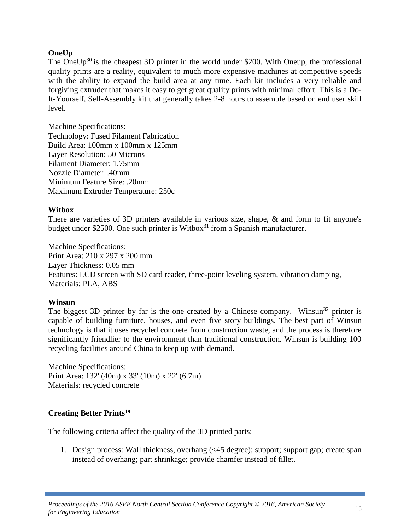#### **OneUp**

The OneUp<sup>30</sup> is the cheapest 3D printer in the world under \$200. With Oneup, the professional quality prints are a reality, equivalent to much more expensive machines at competitive speeds with the ability to expand the build area at any time. Each kit includes a very reliable and forgiving extruder that makes it easy to get great quality prints with minimal effort. This is a Do-It-Yourself, Self-Assembly kit that generally takes 2-8 hours to assemble based on end user skill level.

Machine Specifications: Technology: Fused Filament Fabrication Build Area: 100mm x 100mm x 125mm Layer Resolution: 50 Microns Filament Diameter: 1.75mm Nozzle Diameter: .40mm Minimum Feature Size: .20mm Maximum Extruder Temperature: 250c

#### **Witbox**

There are varieties of 3D printers available in various size, shape, & and form to fit anyone's budget under \$2500. One such printer is Witbox<sup>31</sup> from a Spanish manufacturer.

Machine Specifications: Print Area: 210 x 297 x 200 mm Layer Thickness: 0.05 mm Features: LCD screen with SD card reader, three-point leveling system, vibration damping, Materials: PLA, ABS

#### **Winsun**

The biggest 3D printer by far is the one created by a Chinese company. Winsun<sup>32</sup> printer is capable of building furniture, houses, and even five story buildings. The best part of Winsun technology is that it uses recycled concrete from construction waste, and the process is therefore significantly friendlier to the environment than traditional construction. Winsun is building 100 recycling facilities around China to keep up with demand.

Machine Specifications: Print Area: 132' (40m) x 33' (10m) x 22' (6.7m) Materials: recycled concrete

### **Creating Better Prints<sup>19</sup>**

The following criteria affect the quality of the 3D printed parts:

1. Design process: Wall thickness, overhang (<45 degree); support; support gap; create span instead of overhang; part shrinkage; provide chamfer instead of fillet.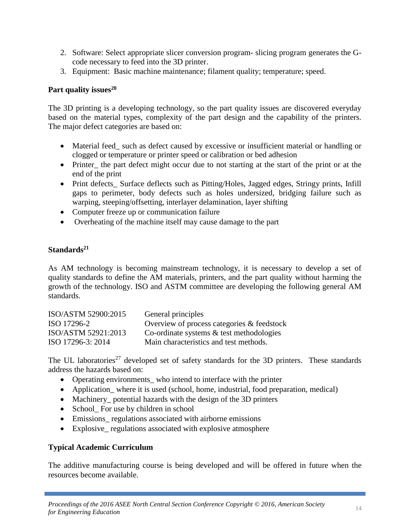- 2. Software: Select appropriate slicer conversion program- slicing program generates the Gcode necessary to feed into the 3D printer.
- 3. Equipment: Basic machine maintenance; filament quality; temperature; speed.

### **Part quality issues<sup>20</sup>**

The 3D printing is a developing technology, so the part quality issues are discovered everyday based on the material types, complexity of the part design and the capability of the printers. The major defect categories are based on:

- Material feed\_ such as defect caused by excessive or insufficient material or handling or clogged or temperature or printer speed or calibration or bed adhesion
- Printer\_ the part defect might occur due to not starting at the start of the print or at the end of the print
- Print defects\_ Surface deflects such as Pitting/Holes, Jagged edges, Stringy prints, Infill gaps to perimeter, body defects such as holes undersized, bridging failure such as warping, steeping/offsetting, interlayer delamination, layer shifting
- Computer freeze up or communication failure
- Overheating of the machine itself may cause damage to the part

### **Standards<sup>21</sup>**

As AM technology is becoming mainstream technology, it is necessary to develop a set of quality standards to define the AM materials, printers, and the part quality without harming the growth of the technology. ISO and ASTM committee are developing the following general AM standards.

| ISO/ASTM 52900:2015 | General principles                            |
|---------------------|-----------------------------------------------|
| ISO 17296-2         | Overview of process categories $\&$ feedstock |
| ISO/ASTM 52921:2013 | Co-ordinate systems $\&$ test methodologies   |
| ISO 17296-3: 2014   | Main characteristics and test methods.        |

The UL laboratories<sup>27</sup> developed set of safety standards for the 3D printers. These standards address the hazards based on:

- Operating environments\_who intend to interface with the printer
- Application\_where it is used (school, home, industrial, food preparation, medical)
- Machinery potential hazards with the design of the 3D printers
- School For use by children in school
- Emissions\_ regulations associated with airborne emissions
- Explosive regulations associated with explosive atmosphere

### **Typical Academic Curriculum**

The additive manufacturing course is being developed and will be offered in future when the resources become available.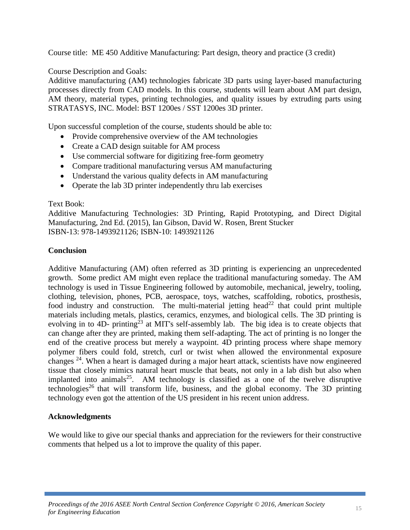Course title: ME 450 Additive Manufacturing: Part design, theory and practice (3 credit)

Course Description and Goals:

Additive manufacturing (AM) technologies fabricate 3D parts using layer-based manufacturing processes directly from CAD models. In this course, students will learn about AM part design, AM theory, material types, printing technologies, and quality issues by extruding parts using STRATASYS, INC. Model: BST 1200es / SST 1200es 3D printer.

Upon successful completion of the course, students should be able to:

- Provide comprehensive overview of the AM technologies
- Create a CAD design suitable for AM process
- Use commercial software for digitizing free-form geometry
- Compare traditional manufacturing versus AM manufacturing
- Understand the various quality defects in AM manufacturing
- Operate the lab 3D printer independently thru lab exercises

#### Text Book:

Additive Manufacturing Technologies: 3D Printing, Rapid Prototyping, and Direct Digital Manufacturing, 2nd Ed. (2015), Ian Gibson, David W. Rosen, Brent Stucker ISBN-13: 978-1493921126; ISBN-10: 1493921126

### **Conclusion**

Additive Manufacturing (AM) often referred as 3D printing is experiencing an unprecedented growth. Some predict AM might even replace the traditional manufacturing someday. The AM technology is used in Tissue Engineering followed by automobile, mechanical, jewelry, tooling, clothing, television, phones, PCB, aerospace, toys, watches, scaffolding, robotics, prosthesis, food industry and construction. The multi-material jetting head<sup>22</sup> that could print multiple materials including metals, plastics, ceramics, enzymes, and biological cells. The 3D printing is evolving in to  $4D$ - printing<sup>23</sup> at MIT's self-assembly lab. The big idea is to create objects that can change after they are printed, making them self-adapting. The act of printing is no longer the end of the creative process but merely a waypoint. 4D printing process where shape memory polymer fibers could fold, stretch, curl or twist when allowed the environmental exposure changes<sup>24</sup>. When a heart is damaged during a major heart attack, scientists have now engineered tissue that closely mimics natural heart muscle that beats, not only in a lab dish but also when implanted into animals<sup>25</sup>. AM technology is classified as a one of the twelve disruptive technologies<sup>26</sup> that will transform life, business, and the global economy. The 3D printing technology even got the attention of the US president in his recent union address.

### **Acknowledgments**

We would like to give our special thanks and appreciation for the reviewers for their constructive comments that helped us a lot to improve the quality of this paper.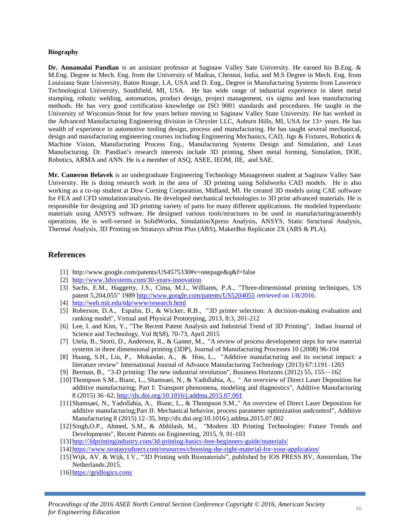#### **Biography**

**Dr. Annamalai Pandian** is an assistant professor at Saginaw Valley Sate University. He earned his B.Eng. & M.Eng. Degree in Mech. Eng. from the University of Madras, Chennai, India, and M.S Degree in Mech. Eng. from Louisiana State University, Baton Rouge, LA, USA and D. Eng., Degree in Manufacturing Systems from Lawrence Technological University, Southfield, MI, USA. He has wide range of industrial experience in sheet metal stamping, robotic welding, automation, product design, project management, six sigma and lean manufacturing methods. He has very good certification knowledge on ISO 9001 standards and procedures. He taught in the University of Wisconsin-Stout for few years before moving to Saginaw Valley State University. He has worked in the Advanced Manufacturing Engineering division in Chrysler LLC, Auburn Hills, MI, USA for 13+ years. He has wealth of experience in automotive tooling design, process and manufacturing. He has taught several mechanical, design and manufacturing engineering courses including Engineering Mechanics, CAD, Jigs & Fixtures, Robotics & Machine Vision, Manufacturing Process Eng., Manufacturing Systems Design and Simulation, and Lean Manufacturing. Dr. Pandian**'**s research interests include 3D printing, Sheet metal forming, Simulation, DOE, Robotics, ARMA and ANN. He is a member of ASQ, ASEE, IEOM, IIE, and SAE.

**Mr. Cameron Belavek** is an undergraduate Engineering Technology Management student at Saginaw Valley Sate University. He is doing research work in the area of 3D printing using Solidworks CAD models. He is also working as a co-op student at Dow Corning Corporation, Midland, MI. He created 3D models using CAE software for FEA and CFD simulation/analysis. He developed mechanical technologies to 3D print advanced materials. He is responsible for designing and 3D printing variety of parts for many different applications. He modeled hyperelastic materials using ANSYS software. He designed various tools/structures to be used in manufacturing/assembly operations. He is well-versed in SolidWorks, SimulationXpress Analysis, ANSYS, Static Structural Analysis, Thermal Analysis, 3D Printing on Stratasys uPrint Plus (ABS), MakerBot Replicator 2X (ABS & PLA).

#### **References**

- [1] http://www.google.com/patents/US4575330#v=onepage&q&f=false
- [2] <http://www.3dsystems.com/30-years-innovation>
- [3] Sachs, E.M., Haggerty, J.S., Cima, M.J., Williams, P.A., "Three-dimensional printing techniques, US patent 5,204,055" 1989<http://www.google.com/patents/US5204055> retrieved on 1/8/2016.
- [4] <http://web.mit.edu/tdp/www/research.html>
- [5] Roberson, D.A., Espalin, D., & Wicker, R.B., "3D printer selection: A decision-making evaluation and ranking model", Virtual and Physical Prototyping, 2013, 8:3, 201-212
- [6] Lee, I. and Kim, Y., "The Recent Patent Analysis and Industrial Trend of 3D Printing", Indian Journal of Science and Technology, Vol 8(S8), 70-73, April 2015
- [7] Utela, B., Storti, D., Anderson, R., & Ganter, M., "A review of process development steps for new material systems in three dimensional printing (3DP), Journal of Manufacturing Processes 10 (2008) 96-104
- [8] Huang, S.H., Liu, P., Mokasdar, A., & Hou, L., "Additive manufacturing and its societal impact: a literature review" International Journal of Advance Manufacturing Technology (2013) 67:1191–1203
- [9] Berman, B., "3-D printing: The new industrial revolution", Business Horizons (2012) 55, 155—162
- [10]Thompson S.M., Bianc, L., Shamsaei, N., & Yadollahia, A., " An overview of Direct Laser Deposition for additive manufacturing; Part I: Transport phenomena, modeling and diagnostics", Additive Manufacturing 8 (2015) 36–62[, http://dx.doi.org/10.1016/j.addma.2015.07.001](http://dx.doi.org/10.1016/j.addma.2015.07.001)
- [11]Shamsaei, N., Yadollahia, A., Bianc, L., & Thompson S.M.," An overview of Direct Laser Deposition for additive manufacturing;Part II: Mechanical behavior, process parameter optimization andcontrol", Additive Manufacturing 8 (2015) 12–35, http://dx.doi.org/10.1016/j.addma.2015.07.002
- [12]Singh,O.P., Ahmed, S.M., & Abhilash, M., "Modern 3D Printing Technologies: Future Trends and Developments", Recent Patents on Engineering, 2015, 9, 91-103
- [13] <http://3dprintingindustry.com/3d-printing-basics-free-beginners-guide/materials/>
- [14] <https://www.stratasysdirect.com/resources/choosing-the-right-material-for-your-application/>
- [15]Wijk, AV. & Wijk, I.V., "3D Printing with Biomaterials", published by IOS PRESS BV, Amsterdam, The Netherlands.2015.
- [16] <https://gridlogics.com/>